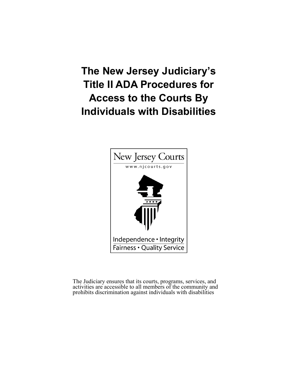# **The New Jersey Judiciary's Title II ADA Procedures for Access to the Courts By Individuals with Disabilities**



The Judiciary ensures that its courts, programs, services, and activities are accessible to all members of the community and prohibits discrimination against individuals with disabilities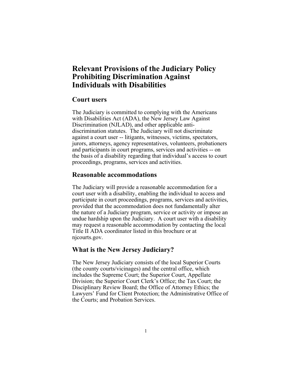# **Relevant Provisions of the Judiciary Policy Prohibiting Discrimination Against Individuals with Disabilities**

### **Court users**

The Judiciary is committed to complying with the Americans with Disabilities Act (ADA), the New Jersey Law Against Discrimination (NJLAD), and other applicable antidiscrimination statutes. The Judiciary will not discriminate against a court user -- litigants, witnesses, victims, spectators, jurors, attorneys, agency representatives, volunteers, probationers and participants in court programs, services and activities -- on the basis of a disability regarding that individual's access to court proceedings, programs, services and activities.

# **Reasonable accommodations**

The Judiciary will provide a reasonable accommodation for a court user with a disability, enabling the individual to access and participate in court proceedings, programs, services and activities, provided that the accommodation does not fundamentally alter the nature of a Judiciary program, service or activity or impose an undue hardship upon the Judiciary. A court user with a disability may request a reasonable accommodation by contacting the local Title II ADA coordinator listed in this brochure or at njcourts.gov.

# **What is the New Jersey Judiciary?**

The New Jersey Judiciary consists of the local Superior Courts (the county courts/vicinages) and the central office, which includes the Supreme Court; the Superior Court, Appellate Division; the Superior Court Clerk's Office; the Tax Court; the Disciplinary Review Board; the Office of Attorney Ethics; the Lawyers' Fund for Client Protection; the Administrative Office of the Courts; and Probation Services.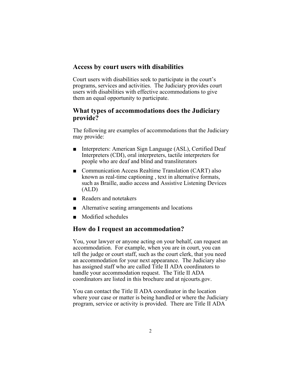# **Access by court users with disabilities**

Court users with disabilities seek to participate in the court's programs, services and activities. The Judiciary provides court users with disabilities with effective accommodations to give them an equal opportunity to participate.

# **What types of accommodations does the Judiciary provide?**

The following are examples of accommodations that the Judiciary may provide:

- Interpreters: American Sign Language (ASL), Certified Deaf Interpreters (CDI), oral interpreters, tactile interpreters for people who are deaf and blind and transliterators
- Communication Access Realtime Translation (CART) also known as real-time captioning , text in alternative formats, such as Braille, audio access and Assistive Listening Devices (ALD)
- Readers and notetakers
- Alternative seating arrangements and locations
- Modified schedules

### **How do I request an accommodation?**

You, your lawyer or anyone acting on your behalf, can request an accommodation. For example, when you are in court, you can tell the judge or court staff, such as the court clerk, that you need an accommodation for your next appearance. The Judiciary also has assigned staff who are called Title II ADA coordinators to handle your accommodation request. The Title II ADA coordinators are listed in this brochure and at njcourts.gov.

You can contact the Title II ADA coordinator in the location where your case or matter is being handled or where the Judiciary program, service or activity is provided. There are Title II ADA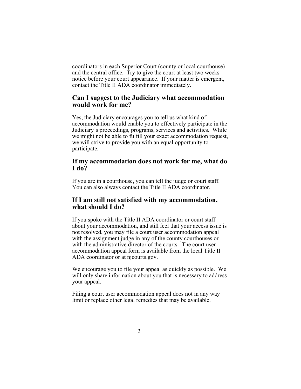coordinators in each Superior Court (county or local courthouse) and the central office. Try to give the court at least two weeks notice before your court appearance. If your matter is emergent, contact the Title II ADA coordinator immediately.

# **Can I suggest to the Judiciary what accommodation would work for me?**

Yes, the Judiciary encourages you to tell us what kind of accommodation would enable you to effectively participate in the Judiciary's proceedings, programs, services and activities. While we might not be able to fulfill your exact accommodation request, we will strive to provide you with an equal opportunity to participate.

# **If my accommodation does not work for me, what do I do?**

If you are in a courthouse, you can tell the judge or court staff. You can also always contact the Title II ADA coordinator.

# **If I am still not satisfied with my accommodation, what should I do?**

If you spoke with the Title II ADA coordinator or court staff about your accommodation, and still feel that your access issue is not resolved, you may file a court user accommodation appeal with the assignment judge in any of the county courthouses or with the administrative director of the courts. The court user accommodation appeal form is available from the local Title II ADA coordinator or at njcourts.gov.

We encourage you to file your appeal as quickly as possible. We will only share information about you that is necessary to address your appeal.

Filing a court user accommodation appeal does not in any way limit or replace other legal remedies that may be available.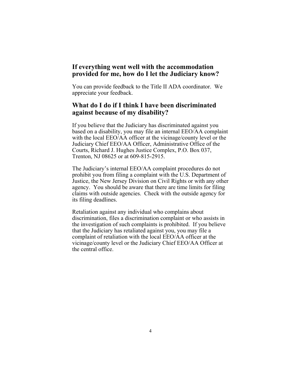# **If everything went well with the accommodation provided for me, how do I let the Judiciary know?**

You can provide feedback to the Title II ADA coordinator. We appreciate your feedback.

# **What do I do if I think I have been discriminated against because of my disability?**

If you believe that the Judiciary has discriminated against you based on a disability, you may file an internal EEO/AA complaint with the local EEO/AA officer at the vicinage/county level or the Judiciary Chief EEO/AA Officer, Administrative Office of the Courts, Richard J. Hughes Justice Complex, P.O. Box 037, Trenton, NJ 08625 or at 609-815-2915.

The Judiciary's internal EEO/AA complaint procedures do not prohibit you from filing a complaint with the U.S. Department of Justice, the New Jersey Division on Civil Rights or with any other agency. You should be aware that there are time limits for filing claims with outside agencies. Check with the outside agency for its filing deadlines.

Retaliation against any individual who complains about discrimination, files a discrimination complaint or who assists in the investigation of such complaints is prohibited. If you believe that the Judiciary has retaliated against you, you may file a complaint of retaliation with the local EEO/AA officer at the vicinage/county level or the Judiciary Chief EEO/AA Officer at the central office.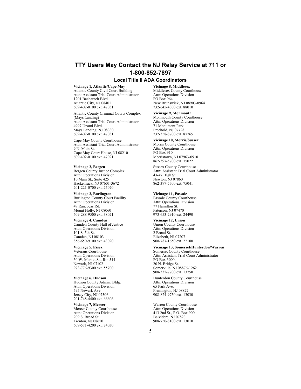# **TTY Users May Contact the NJ Relay Service at 711 or 1-800-852-7897**

#### **Local Title II ADA Coordinators**

#### **Vicinage 1, Atlantic/Cape May**

Atlantic County Civil Court Building Attn: Assistant Trial Court Administrator 1201 Bacharach Blvd. Atlantic City, NJ 08401 609-402-0100 ext. 47031

Atlantic County Criminal Courts Complex (Mays Landing) Attn: Assistant Trial Court Administrator 4997 Unami Blvd. Mays Landing, NJ 08330 609-402-0100 ext. 47031

Cape May County Courthouse Attn: Assistant Trial Court Administrator 9 N. Main St. Cape May Court House, NJ 08210 609-402-0100 ext. 47021

#### **Vicinage 2, Bergen**

Bergen County Justice Complex Attn: Operations Division 10 Main St., Suite 425 Hackensack, NJ 07601-3672 201-221-0700 ext. 25070

**Vicinage 3, Burlington** Burlington County Court Facility Attn: Operations Division 49 Rancocas Rd. Mount Holly, NJ 08060 609-288-9500 ext. 38021

#### **Vicinage 4, Camden**

Camden County Hall of Justice Attn: Operations Division 101 S. 5th St. Camden, NJ 08103 856-650-9100 ext. 43020

**Vicinage 5, Essex** Veterans Courthouse Attn: Operations Division 50 W. Market St., Rm 514 Newark, NJ 07102 973-776-9300 ext. 55700

#### **Vicinage 6, Hudson**

Hudson County Admin. Bldg. Attn: Operations Division 595 Newark Ave. Jersey City, NJ 07306 201-748-4400 ext. 66606

**Vicinage 7, Mercer** Mercer County Courthouse Attn: Operations Division 209 S. Broad St . Trenton, NJ 08650 609-571-4200 ext. 74030

**Vicinage 8, Middlesex** Middlesex County Courthouse Attn: Operations Division PO Box 964 New Brunswick, NJ 08903-0964 732-645-4300 ext. 88010

**Vicinage 9, Monmouth** Monmouth County Courthouse Attn: Operations Division 71 Monument Park Freehold, NJ 07728 732-358-8700 ext. 87765

### **Vicinage 10, Morris/Sussex**

Morris County Courthouse Attn: Operations Division PO Box 910 Morristown, NJ 07963-0910 862-397-5700 ext. 75022

Sussex County Courthouse Attn: Assistant Trial Court Administrator 43-47 High St. Newton, NJ 07860 862-397-5700 ext. 75041

#### **Vicinage 11, Passaic**

Passaic County Courthouse Attn: Operations Division 77 Hamilton St. Paterson, NJ 07470 973-653-2910 ext. 24490

**Vicinage 12, Union**

Union County Courthouse Attn: Operations Division 2 Broad St. Elizabeth, NJ 07207 908-787-1650 ext. 22100

#### **Vicinage 13, Somerset/Hunterdon/Warren**

Somerset County Courthouse Attn: Assistant Trial Court Administrator PO Box 3000, 20 N. Bridge St. Somerville, NJ 08876-1262 908-332-7700 ext. 13750

Hunterdon County Courthouse Attn: Operations Division 65 Park Ave. Flemington, NJ 08822 908-824-9750 ext. 13030

Warren County Courthouse Attn: Operations Division 413 2nd St., P.O. Box 900 Belvidere, NJ 07823 908-750-8100 ext. 13010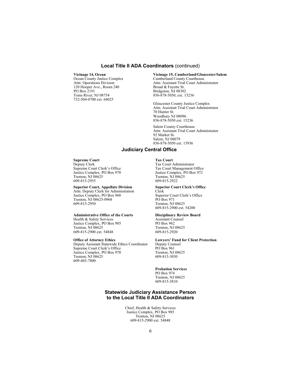### **Local Title II ADA Coordinators** (continued)

### **Vicinage 14, Ocean**

Ocean County Justice Complex Attn: Operations Division 120 Hooper Ave., Room 240 PO Box 2191 Toms River, NJ 08754 732-504-0700 ext. 64025

#### **Vicinage 15, Cumberland/Gloucester/Salem**

Cumberland County Courthouse Attn: Assistant Trial Court Administrator Broad & Fayette St. Bridgeton, NJ 08302 856-878-5050, ext. 15236

 Gloucester County Justice Complex Attn: Assistant Trial Court Administrator 70 Hunter St. Woodbury NJ 08096 856-878-5050 ext. 15236

 Salem County Courthouse Attn: Assistant Trial Court Administrator 92 Market St. Salem, NJ 08079 856-878-5050 ext. 15936

### **Judiciary Central Office**

### **Supreme Court**

Deputy Clerk Supreme Court Clerk's Office Justice Complex, PO Box 970 Trenton, NJ 08625 609-815-2955

#### **Superior Court, Appellate Division**

Attn: Deputy Clerk for Administration Justice Complex, PO Box 968 Trenton, NJ 08625-0968 609-815-2950

#### **Administrative Office of the Courts**

Health & Safety Services Justice Complex, PO Box 985 Trenton, NJ 08625 609-815-2900 ext. 54848

#### **Office of Attorney Ethics**

Deputy Assistant Statewide Ethics Coordinator Supreme Court Clerk's Office Justice Complex, PO Box 970 Trenton, NJ 08625 609-403-7800

#### **Tax Court** Tax Court Administrator Tax Court Management Office Justice Complex, PO Box 972 Trenton, NJ 08625 609-815-2922

#### **Superior Court Clerk's Office**

Clerk Superior Court Clerk's Office PO Box 971 Trenton, NJ 08625 609-815-2900 ext. 54200

#### **Disciplinary Review Board**

Assistant Counsel PO Box 962 Trenton, NJ 08625 609-815-2920

### **Lawyers' Fund for Client Protection**

Deputy Counsel PO Box 961 Trenton, NJ 08625 609-815-3030

#### **Probation Services**

PO Box 974 Trenton, NJ 08625 609-815-3810

### **Statewide Judiciary Assistance Person to the Local Title II ADA Coordinators**

Chief, Health & Safety Services Justice Complex, PO Box 985 Trenton, NJ 08625 609-815-2900 ext. 54848